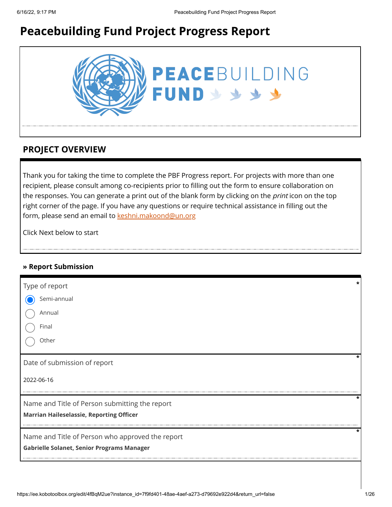# **Peacebuilding Fund Project Progress Report**



## **PROJECT OVERVIEW**

Thank you for taking the time to complete the PBF Progress report. For projects with more than one recipient, please consult among co-recipients prior to filling out the form to ensure collaboration on the responses. You can generate a print out of the blank form by clicking on the *print* icon on the top right corner of the page. If you have any questions or require technical assistance in filling out the form, please send an email to [keshni.makoond@un.org](https://ee.kobotoolbox.org/edit/keshni.makoond@un.org)

Click Next below to start

## **» Report Submission**

| Type of report                                    |   |
|---------------------------------------------------|---|
| Semi-annual                                       |   |
| Annual                                            |   |
| Final                                             |   |
| Other                                             |   |
| Date of submission of report                      |   |
| 2022-06-16                                        |   |
| Name and Title of Person submitting the report    | * |
| <b>Marrian Haileselassie, Reporting Officer</b>   |   |
| Name and Title of Person who approved the report  | ÷ |
| <b>Gabrielle Solanet, Senior Programs Manager</b> |   |
|                                                   |   |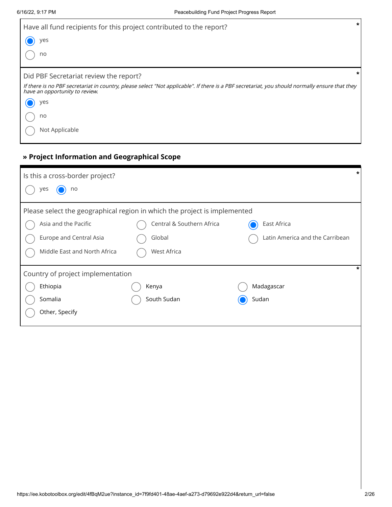| Have all fund recipients for this project contributed to the report?                                                                                                             | $\star$ |
|----------------------------------------------------------------------------------------------------------------------------------------------------------------------------------|---------|
| yes                                                                                                                                                                              |         |
| no                                                                                                                                                                               |         |
| Did PBF Secretariat review the report?                                                                                                                                           |         |
| If there is no PBF secretariat in country, please select "Not applicable". If there is a PBF secretariat, you should normally ensure that they<br>have an opportunity to review. |         |
| yes                                                                                                                                                                              |         |
| no                                                                                                                                                                               |         |
| Not Applicable                                                                                                                                                                   |         |

## **» Project Information and Geographical Scope**

| Is this a cross-border project?                                           |                                   | *                               |  |  |  |
|---------------------------------------------------------------------------|-----------------------------------|---------------------------------|--|--|--|
| no<br>yes                                                                 |                                   |                                 |  |  |  |
| Please select the geographical region in which the project is implemented |                                   |                                 |  |  |  |
| Asia and the Pacific                                                      | Central & Southern Africa         | East Africa                     |  |  |  |
| Europe and Central Asia                                                   | Global                            | Latin America and the Carribean |  |  |  |
| Middle East and North Africa                                              | <b>West Africa</b>                |                                 |  |  |  |
|                                                                           | Country of project implementation |                                 |  |  |  |
| Ethiopia                                                                  | Kenya                             | Madagascar                      |  |  |  |
| Somalia                                                                   | South Sudan                       | Sudan                           |  |  |  |
| Other, Specify                                                            |                                   |                                 |  |  |  |
|                                                                           |                                   |                                 |  |  |  |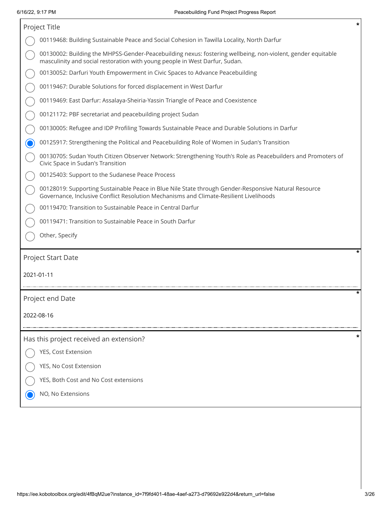| *<br>Project Title                                                                                                                                                                             |
|------------------------------------------------------------------------------------------------------------------------------------------------------------------------------------------------|
| 00119468: Building Sustainable Peace and Social Cohesion in Tawilla Locality, North Darfur                                                                                                     |
| 00130002: Building the MHPSS-Gender-Peacebuilding nexus: fostering wellbeing, non-violent, gender equitable<br>masculinity and social restoration with young people in West Darfur, Sudan.     |
| 00130052: Darfuri Youth Empowerment in Civic Spaces to Advance Peacebuilding                                                                                                                   |
| 00119467: Durable Solutions for forced displacement in West Darfur                                                                                                                             |
| 00119469: East Darfur: Assalaya-Sheiria-Yassin Triangle of Peace and Coexistence                                                                                                               |
| 00121172: PBF secretariat and peacebuilding project Sudan                                                                                                                                      |
| 00130005: Refugee and IDP Profiling Towards Sustainable Peace and Durable Solutions in Darfur                                                                                                  |
| 00125917: Strengthening the Political and Peacebuilding Role of Women in Sudan's Transition                                                                                                    |
| 00130705: Sudan Youth Citizen Observer Network: Strengthening Youth's Role as Peacebuilders and Promoters of<br>Civic Space in Sudan's Transition                                              |
| 00125403: Support to the Sudanese Peace Process                                                                                                                                                |
| 00128019: Supporting Sustainable Peace in Blue Nile State through Gender-Responsive Natural Resource<br>Governance, Inclusive Conflict Resolution Mechanisms and Climate-Resilient Livelihoods |
| 00119470: Transition to Sustainable Peace in Central Darfur                                                                                                                                    |
| 00119471: Transition to Sustainable Peace in South Darfur                                                                                                                                      |
| Other, Specify                                                                                                                                                                                 |
| Project Start Date                                                                                                                                                                             |
| 2021-01-11                                                                                                                                                                                     |
|                                                                                                                                                                                                |
| Project end Date                                                                                                                                                                               |
| 2022-08-16                                                                                                                                                                                     |
|                                                                                                                                                                                                |
| Has this project received an extension?                                                                                                                                                        |
| YES, Cost Extension                                                                                                                                                                            |
| YES, No Cost Extension                                                                                                                                                                         |
| YES, Both Cost and No Cost extensions                                                                                                                                                          |
| NO, No Extensions                                                                                                                                                                              |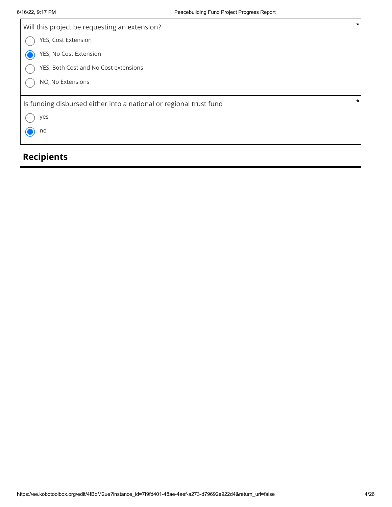| Will this project be requesting an extension?                      | $\star$ |
|--------------------------------------------------------------------|---------|
| YES, Cost Extension                                                |         |
| YES, No Cost Extension                                             |         |
| YES, Both Cost and No Cost extensions                              |         |
| NO, No Extensions                                                  |         |
| Is funding disbursed either into a national or regional trust fund | $\star$ |
| yes                                                                |         |
| no                                                                 |         |

# **Recipients**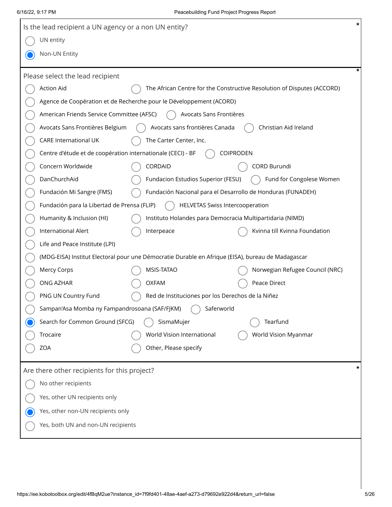| *<br>Is the lead recipient a UN agency or a non UN entity?  |                                                                                                   |                                                                         |  |  |  |  |
|-------------------------------------------------------------|---------------------------------------------------------------------------------------------------|-------------------------------------------------------------------------|--|--|--|--|
| UN entity                                                   |                                                                                                   |                                                                         |  |  |  |  |
| Non-UN Entity                                               |                                                                                                   |                                                                         |  |  |  |  |
| *                                                           |                                                                                                   |                                                                         |  |  |  |  |
| Please select the lead recipient                            |                                                                                                   |                                                                         |  |  |  |  |
| <b>Action Aid</b>                                           |                                                                                                   | The African Centre for the Constructive Resolution of Disputes (ACCORD) |  |  |  |  |
|                                                             | Agence de Coopération et de Recherche pour le Développement (ACORD)                               |                                                                         |  |  |  |  |
| American Friends Service Committee (AFSC)                   | Avocats Sans Frontières                                                                           |                                                                         |  |  |  |  |
| Avocats Sans Frontières Belgium                             | Avocats sans frontières Canada                                                                    | Christian Aid Ireland                                                   |  |  |  |  |
| <b>CARE International UK</b>                                | The Carter Center, Inc.                                                                           |                                                                         |  |  |  |  |
| Centre d'étude et de coopération internationale (CECI) - BF |                                                                                                   | <b>COIPRODEN</b>                                                        |  |  |  |  |
| Concern Worldwide                                           | CORDAID                                                                                           | CORD Burundi                                                            |  |  |  |  |
| DanChurchAid                                                | Fundacion Estudios Superior (FESU)                                                                | Fund for Congolese Women                                                |  |  |  |  |
| Fundación Mi Sangre (FMS)                                   |                                                                                                   | Fundación Nacional para el Desarrollo de Honduras (FUNADEH)             |  |  |  |  |
| Fundación para la Libertad de Prensa (FLIP)                 | <b>HELVETAS Swiss Intercooperation</b>                                                            |                                                                         |  |  |  |  |
| Humanity & Inclusion (HI)                                   | Instituto Holandes para Democracia Multipartidaria (NIMD)                                         |                                                                         |  |  |  |  |
| International Alert                                         | Interpeace                                                                                        | Kvinna till Kvinna Foundation                                           |  |  |  |  |
| Life and Peace Institute (LPI)                              |                                                                                                   |                                                                         |  |  |  |  |
|                                                             | (MDG-EISA) Institut Electoral pour une Démocratie Durable en Afrique (EISA), bureau de Madagascar |                                                                         |  |  |  |  |
| Mercy Corps                                                 | MSIS-TATAO                                                                                        | Norwegian Refugee Council (NRC)                                         |  |  |  |  |
| ONG AZHAR                                                   | <b>OXFAM</b>                                                                                      | Peace Direct                                                            |  |  |  |  |
| PNG UN Country Fund                                         | Red de Instituciones por los Derechos de la Niñez                                                 |                                                                         |  |  |  |  |
| Sampan'Asa Momba ny Fampandrosoana (SAF/FJKM)               | Saferworld                                                                                        |                                                                         |  |  |  |  |
| Search for Common Ground (SFCG)                             | SismaMujer                                                                                        | Tearfund                                                                |  |  |  |  |
| Trocaire                                                    | World Vision International                                                                        | World Vision Myanmar                                                    |  |  |  |  |
| <b>ZOA</b>                                                  | Other, Please specify                                                                             |                                                                         |  |  |  |  |
|                                                             |                                                                                                   | *                                                                       |  |  |  |  |
| Are there other recipients for this project?                |                                                                                                   |                                                                         |  |  |  |  |
| No other recipients                                         |                                                                                                   |                                                                         |  |  |  |  |
| Yes, other UN recipients only                               |                                                                                                   |                                                                         |  |  |  |  |
| Yes, other non-UN recipients only                           |                                                                                                   |                                                                         |  |  |  |  |
| Yes, both UN and non-UN recipients                          |                                                                                                   |                                                                         |  |  |  |  |
|                                                             |                                                                                                   |                                                                         |  |  |  |  |
|                                                             |                                                                                                   |                                                                         |  |  |  |  |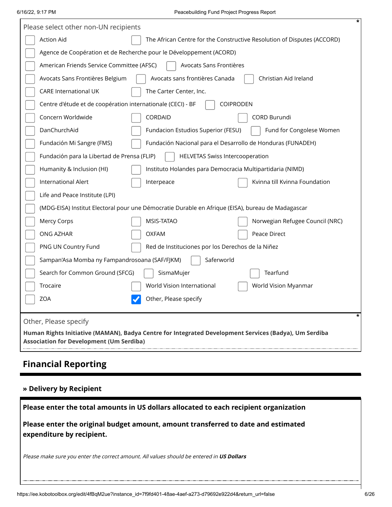|                       | *<br>Please select other non-UN recipients                                                                                                               |  |                                                                                                   |  |  |  |
|-----------------------|----------------------------------------------------------------------------------------------------------------------------------------------------------|--|---------------------------------------------------------------------------------------------------|--|--|--|
|                       | <b>Action Aid</b>                                                                                                                                        |  | The African Centre for the Constructive Resolution of Disputes (ACCORD)                           |  |  |  |
|                       | Agence de Coopération et de Recherche pour le Développement (ACORD)                                                                                      |  |                                                                                                   |  |  |  |
|                       | American Friends Service Committee (AFSC)                                                                                                                |  | Avocats Sans Frontières                                                                           |  |  |  |
|                       | Avocats Sans Frontières Belgium                                                                                                                          |  | Avocats sans frontières Canada<br>Christian Aid Ireland                                           |  |  |  |
|                       | <b>CARE International UK</b>                                                                                                                             |  | The Carter Center, Inc.                                                                           |  |  |  |
|                       | Centre d'étude et de coopération internationale (CECI) - BF                                                                                              |  | <b>COIPRODEN</b>                                                                                  |  |  |  |
|                       | Concern Worldwide                                                                                                                                        |  | CORDAID<br><b>CORD Burundi</b>                                                                    |  |  |  |
|                       | DanChurchAid                                                                                                                                             |  | Fundacion Estudios Superior (FESU)<br>Fund for Congolese Women                                    |  |  |  |
|                       | Fundación Mi Sangre (FMS)                                                                                                                                |  | Fundación Nacional para el Desarrollo de Honduras (FUNADEH)                                       |  |  |  |
|                       | Fundación para la Libertad de Prensa (FLIP)                                                                                                              |  | <b>HELVETAS Swiss Intercooperation</b>                                                            |  |  |  |
|                       | Humanity & Inclusion (HI)                                                                                                                                |  | Instituto Holandes para Democracia Multipartidaria (NIMD)                                         |  |  |  |
|                       | International Alert                                                                                                                                      |  | Kvinna till Kvinna Foundation<br>Interpeace                                                       |  |  |  |
|                       | Life and Peace Institute (LPI)                                                                                                                           |  |                                                                                                   |  |  |  |
|                       |                                                                                                                                                          |  | (MDG-EISA) Institut Electoral pour une Démocratie Durable en Afrique (EISA), bureau de Madagascar |  |  |  |
|                       | <b>Mercy Corps</b>                                                                                                                                       |  | MSIS-TATAO<br>Norwegian Refugee Council (NRC)                                                     |  |  |  |
|                       | ONG AZHAR                                                                                                                                                |  | <b>OXFAM</b><br>Peace Direct                                                                      |  |  |  |
|                       | PNG UN Country Fund                                                                                                                                      |  | Red de Instituciones por los Derechos de la Niñez                                                 |  |  |  |
|                       | Sampan'Asa Momba ny Fampandrosoana (SAF/FJKM)                                                                                                            |  | Saferworld                                                                                        |  |  |  |
|                       | Search for Common Ground (SFCG)                                                                                                                          |  | Tearfund<br>SismaMujer                                                                            |  |  |  |
|                       | Trocaire                                                                                                                                                 |  | World Vision International<br>World Vision Myanmar                                                |  |  |  |
|                       | <b>ZOA</b>                                                                                                                                               |  | Other, Please specify                                                                             |  |  |  |
|                       |                                                                                                                                                          |  | $\star$                                                                                           |  |  |  |
| Other, Please specify |                                                                                                                                                          |  |                                                                                                   |  |  |  |
|                       | Human Rights Initiative (MAMAN), Badya Centre for Integrated Development Services (Badya), Um Serdiba<br><b>Association for Development (Um Serdiba)</b> |  |                                                                                                   |  |  |  |
|                       |                                                                                                                                                          |  |                                                                                                   |  |  |  |

# **Financial Reporting**

## **» Delivery by Recipient**

| Please enter the total amounts in US dollars allocated to each recipient organization                          |
|----------------------------------------------------------------------------------------------------------------|
| Please enter the original budget amount, amount transferred to date and estimated<br>expenditure by recipient. |
| Please make sure you enter the correct amount. All values should be entered in US Dollars                      |
|                                                                                                                |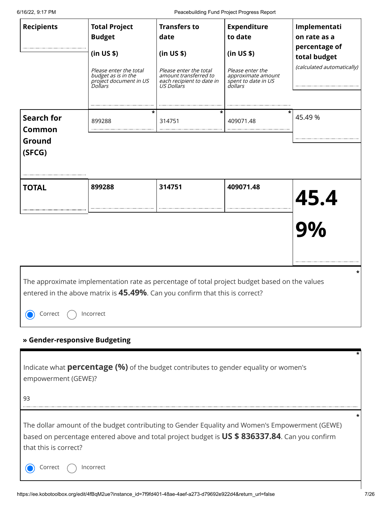| 6/16/22, 9:17 PM        |                                                                                                                                                                                                  |                                                                                            | Peacebuilding Fund Project Progress Report                               |                               |
|-------------------------|--------------------------------------------------------------------------------------------------------------------------------------------------------------------------------------------------|--------------------------------------------------------------------------------------------|--------------------------------------------------------------------------|-------------------------------|
| <b>Recipients</b>       | <b>Total Project</b><br><b>Budget</b>                                                                                                                                                            | <b>Transfers to</b><br>date                                                                | <b>Expenditure</b><br>to date                                            | Implementati<br>on rate as a  |
|                         | (in US \$)                                                                                                                                                                                       | (in US \$)                                                                                 | (in US \$)                                                               | percentage of<br>total budget |
|                         | Please enter the total<br>budget as is in the<br>project document in US<br><i>Dollars</i>                                                                                                        | Please enter the total<br>amount transferred to<br>each recipient to date in<br>US Dollars | Please enter the<br>approximate amount<br>spent to date in US<br>dollars | (calculated automatically)    |
| <b>Search for</b>       | 899288                                                                                                                                                                                           | 314751                                                                                     | *<br>409071.48                                                           | *<br>45.49 %                  |
| <b>Common</b><br>Ground |                                                                                                                                                                                                  |                                                                                            |                                                                          |                               |
| (SFCG)                  |                                                                                                                                                                                                  |                                                                                            |                                                                          |                               |
| <b>TOTAL</b>            | 899288                                                                                                                                                                                           | 314751                                                                                     | 409071.48                                                                | 45.4                          |
|                         |                                                                                                                                                                                                  |                                                                                            |                                                                          | 9%                            |
| Correct                 | The approximate implementation rate as percentage of total project budget based on the values<br>entered in the above matrix is 45.49%. Can you confirm that this is correct?<br>Incorrect       |                                                                                            |                                                                          | *                             |
|                         | » Gender-responsive Budgeting                                                                                                                                                                    |                                                                                            |                                                                          |                               |
| empowerment (GEWE)?     | Indicate what <b>percentage (%)</b> of the budget contributes to gender equality or women's                                                                                                      |                                                                                            |                                                                          |                               |
| 93                      |                                                                                                                                                                                                  |                                                                                            |                                                                          |                               |
| that this is correct?   | The dollar amount of the budget contributing to Gender Equality and Women's Empowerment (GEWE)<br>based on percentage entered above and total project budget is US \$ 836337.84. Can you confirm |                                                                                            |                                                                          | *                             |
| Correct                 | Incorrect                                                                                                                                                                                        |                                                                                            |                                                                          |                               |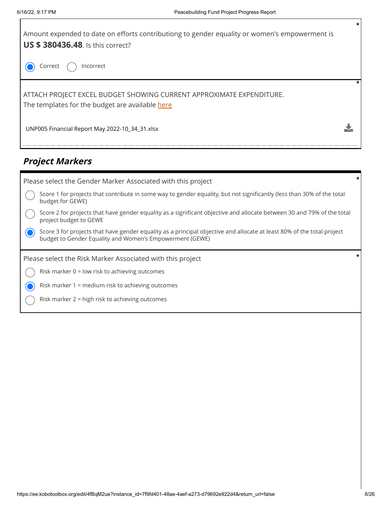

## **Project Markers**

| Please select the Gender Marker Associated with this project                                                                                                                       |  |
|------------------------------------------------------------------------------------------------------------------------------------------------------------------------------------|--|
| Score 1 for projects that contribute in some way to gender equality, but not significantly (less than 30% of the total<br>budget for GEWE)                                         |  |
| Score 2 for projects that have gender equality as a significant objective and allocate between 30 and 79% of the total<br>project budget to GEWE                                   |  |
| Score 3 for projects that have gender equality as a principal objective and allocate at least 80% of the total project<br>budget to Gender Equality and Women's Empowerment (GEWE) |  |
|                                                                                                                                                                                    |  |
| Please select the Risk Marker Associated with this project                                                                                                                         |  |
| Risk marker $0 =$ low risk to achieving outcomes                                                                                                                                   |  |
| Risk marker 1 = medium risk to achieving outcomes                                                                                                                                  |  |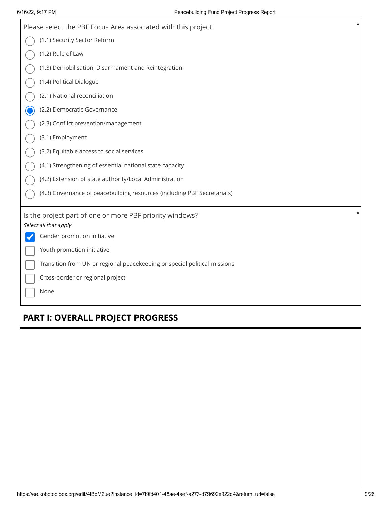| $\star$<br>Please select the PBF Focus Area associated with this project  |
|---------------------------------------------------------------------------|
| (1.1) Security Sector Reform                                              |
| (1.2) Rule of Law                                                         |
| (1.3) Demobilisation, Disarmament and Reintegration                       |
| (1.4) Political Dialogue                                                  |
| (2.1) National reconciliation                                             |
| (2.2) Democratic Governance                                               |
| (2.3) Conflict prevention/management                                      |
| (3.1) Employment                                                          |
| (3.2) Equitable access to social services                                 |
| (4.1) Strengthening of essential national state capacity                  |
| (4.2) Extension of state authority/Local Administration                   |
| (4.3) Governance of peacebuilding resources (including PBF Secretariats)  |
| *<br>Is the project part of one or more PBF priority windows?             |
| Select all that apply                                                     |
| Gender promotion initiative                                               |
| Youth promotion initiative                                                |
| Transition from UN or regional peacekeeping or special political missions |
| Cross-border or regional project                                          |
| None                                                                      |

## **PART I: OVERALL PROJECT PROGRESS**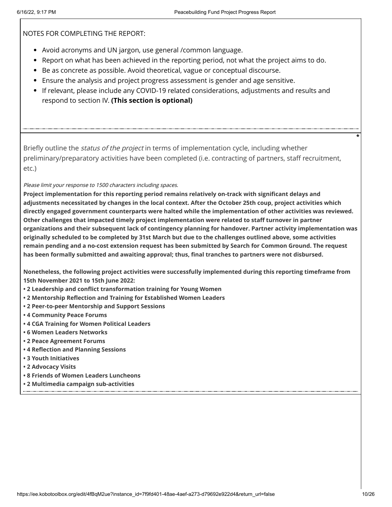NOTES FOR COMPLETING THE REPORT:

- Avoid acronyms and UN jargon, use general /common language.
- Report on what has been achieved in the reporting period, not what the project aims to do.
- Be as concrete as possible. Avoid theoretical, vague or conceptual discourse.
- Ensure the analysis and project progress assessment is gender and age sensitive.
- If relevant, please include any COVID-19 related considerations, adjustments and results and respond to section IV. **(This section is optional)**

Briefly outline the *status of the project* in terms of implementation cycle, including whether preliminary/preparatory activities have been completed (i.e. contracting of partners, staff recruitment, etc.)

Please limit your response to 1500 characters including spaces.

**Project implementation for this reporting period remains relatively on-track with significant delays and adjustments necessitated by changes in the local context. After the October 25th coup, project activities which directly engaged government counterparts were halted while the implementation of other activities was reviewed. Other challenges that impacted timely project implementation were related to staff turnover in partner organizations and their subsequent lack of contingency planning for handover. Partner activity implementation was originally scheduled to be completed by 31st March but due to the challenges outlined above, some activities remain pending and a no-cost extension request has been submitted by Search for Common Ground. The request has been formally submitted and awaiting approval; thus, final tranches to partners were not disbursed.**

**Nonetheless, the following project activities were successfully implemented during this reporting timeframe from 15th November 2021 to 15th June 2022:**

- **• 2 Leadership and conflict transformation training for Young Women**
- **• 2 Mentorship Reflection and Training for Established Women Leaders**
- **• 2 Peer-to-peer Mentorship and Support Sessions**
- **• 4 Community Peace Forums**
- **• 4 CGA Training for Women Political Leaders**
- **• 6 Women Leaders Networks**
- **• 2 Peace Agreement Forums**
- **• 4 Reflection and Planning Sessions**
- **• 3 Youth Initiatives**
- **• 2 Advocacy Visits**
- **• 8 Friends of Women Leaders Luncheons**
- **• 2 Multimedia campaign sub-activities**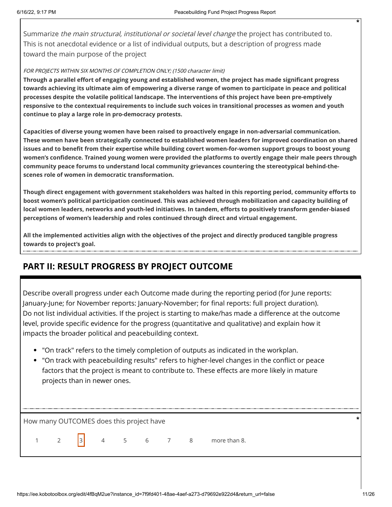Summarize *the main structural, institutional or societal level change* the project has contributed to. This is not anecdotal evidence or a list of individual outputs, but a description of progress made toward the main purpose of the project

### FOR PROJECTS WITHIN SIX MONTHS OF COMPLETION ONLY; (1500 character limit)

**Through a parallel effort of engaging young and established women, the project has made significant progress towards achieving its ultimate aim of empowering a diverse range of women to participate in peace and political processes despite the volatile political landscape. The interventions of this project have been pre-emptively responsive to the contextual requirements to include such voices in transitional processes as women and youth continue to play a large role in pro-democracy protests.**

**Capacities of diverse young women have been raised to proactively engage in non-adversarial communication. These women have been strategically connected to established women leaders for improved coordination on shared issues and to benefit from their expertise while building covert women-for-women support groups to boost young women's confidence. Trained young women were provided the platforms to overtly engage their male peers through community peace forums to understand local community grievances countering the stereotypical behind-thescenes role of women in democratic transformation.**

**Though direct engagement with government stakeholders was halted in this reporting period, community efforts to boost women's political participation continued. This was achieved through mobilization and capacity building of local women leaders, networks and youth-led initiatives. In tandem, efforts to positively transform gender-biased perceptions of women's leadership and roles continued through direct and virtual engagement.** 

**All the implemented activities align with the objectives of the project and directly produced tangible progress towards to project's goal.**

## **PART II: RESULT PROGRESS BY PROJECT OUTCOME**

Describe overall progress under each Outcome made during the reporting period (for June reports: January-June; for November reports: January-November; for final reports: full project duration). Do not list individual activities. If the project is starting to make/has made a difference at the outcome level, provide specific evidence for the progress (quantitative and qualitative) and explain how it impacts the broader political and peacebuilding context.

- "On track" refers to the timely completion of outputs as indicated in the workplan.
- "On track with peacebuilding results" refers to higher-level changes in the conflict or peace factors that the project is meant to contribute to. These effects are more likely in mature projects than in newer ones.

How many OUTCOMES does this project have **\***

1 2  $3$  4 5 6 7 8 more than 8.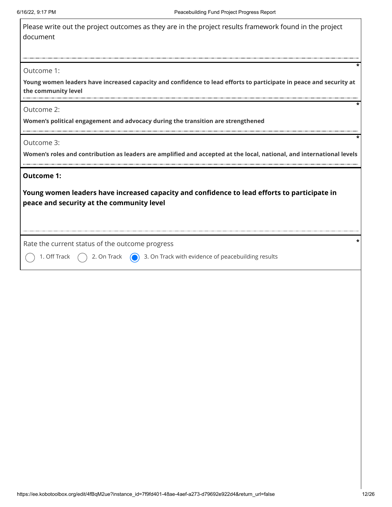| Please write out the project outcomes as they are in the project results framework found in the project |  |
|---------------------------------------------------------------------------------------------------------|--|
| document                                                                                                |  |

### Outcome 1:

**Young women leaders have increased capacity and confidence to lead efforts to participate in peace and security at the community level**

Outcome 2:

**Women's political engagement and advocacy during the transition are strengthened**

Outcome 3:

**Women's roles and contribution as leaders are amplified and accepted at the local, national, and international levels**

### **Outcome 1:**

**Young women leaders have increased capacity and confidence to lead efforts to participate in peace and security at the community level**

Rate the current status of the outcome progress **\***

1. Off Track  $\bigcap$  2. On Track  $\bigcap$  3. On Track with evidence of peacebuilding results

**\***

**\***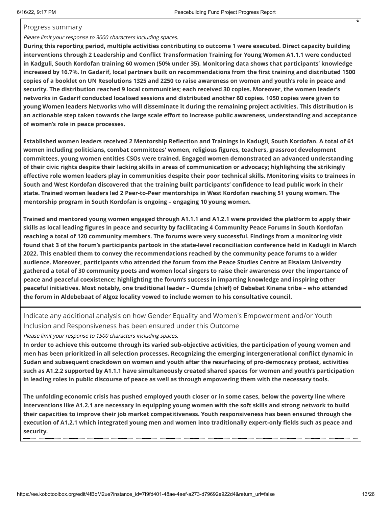### Progress summary

### Please limit your response to 3000 characters including spaces.

**During this reporting period, multiple activities contributing to outcome 1 were executed. Direct capacity building interventions through 2 Leadership and Conflict Transformation Training for Young Women A1.1.1 were conducted in Kadguli, South Kordofan training 60 women (50% under 35). Monitoring data shows that participants' knowledge increased by 16.7%. In Gadarif, local partners built on recommendations from the first training and distributed 1500 copies of a booklet on UN Resolutions 1325 and 2250 to raise awareness on women and youth's role in peace and security. The distribution reached 9 local communities; each received 30 copies. Moreover, the women leader's networks in Gadarif conducted localised sessions and distributed another 60 copies. 1050 copies were given to young Women leaders Networks who will disseminate it during the remaining project activities. This distribution is an actionable step taken towards the large scale effort to increase public awareness, understanding and acceptance of women's role in peace processes.**

**Established women leaders received 2 Mentorship Reflection and Trainings in Kadugli, South Kordofan. A total of 61 women including politicians, combat committees' women, religious figures, teachers, grassroot development committees, young women entities CSOs were trained. Engaged women demonstrated an advanced understanding of their civic rights despite their lacking skills in areas of communication or advocacy; highlighting the strikingly effective role women leaders play in communities despite their poor technical skills. Monitoring visits to trainees in South and West Kordofan discovered that the training built participants' confidence to lead public work in their state. Trained women leaders led 2 Peer-to-Peer mentorships in West Kordofan reaching 51 young women. The mentorship program in South Kordofan is ongoing – engaging 10 young women.**

**Trained and mentored young women engaged through A1.1.1 and A1.2.1 were provided the platform to apply their skills as local leading figures in peace and security by facilitating 4 Community Peace Forums in South Kordofan reaching a total of 120 community members. The forums were very successful. Findings from a monitoring visit found that 3 of the forum's participants partook in the state-level reconciliation conference held in Kadugli in March 2022. This enabled them to convey the recommendations reached by the community peace forums to a wider audience. Moreover, participants who attended the forum from the Peace Studies Centre at Elsalam University gathered a total of 30 community poets and women local singers to raise their awareness over the importance of peace and peaceful coexistence; highlighting the forum's success in imparting knowledge and inspiring other peaceful initiatives. Most notably, one traditional leader – Oumda (chief) of Debebat Kinana tribe – who attended the forum in Aldebebaat of Algoz locality vowed to include women to his consultative council.**

Indicate any additional analysis on how Gender Equality and Women's Empowerment and/or Youth Inclusion and Responsiveness has been ensured under this Outcome

Please limit your response to 1500 characters including spaces.

**In order to achieve this outcome through its varied sub-objective activities, the participation of young women and men has been prioritized in all selection processes. Recognizing the emerging intergenerational conflict dynamic in Sudan and subsequent crackdown on women and youth after the resurfacing of pro-democracy protest, activities such as A1.2.2 supported by A1.1.1 have simultaneously created shared spaces for women and youth's participation in leading roles in public discourse of peace as well as through empowering them with the necessary tools.**

**The unfolding economic crisis has pushed employed youth closer or in some cases, below the poverty line where interventions like A1.2.1 are necessary in equipping young women with the soft skills and strong network to build their capacities to improve their job market competitiveness. Youth responsiveness has been ensured through the execution of A1.2.1 which integrated young men and women into traditionally expert-only fields such as peace and security.**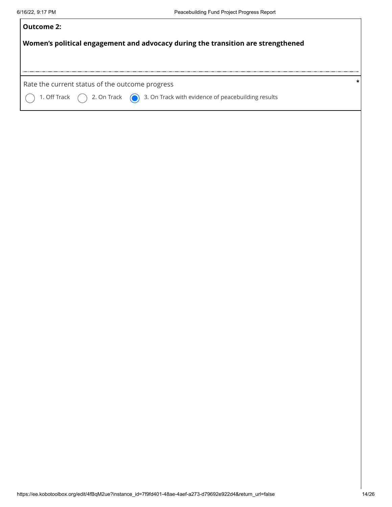| <b>Outcome 2:</b>                                                                                |  |  |  |  |  |  |  |
|--------------------------------------------------------------------------------------------------|--|--|--|--|--|--|--|
| Women's political engagement and advocacy during the transition are strengthened                 |  |  |  |  |  |  |  |
|                                                                                                  |  |  |  |  |  |  |  |
|                                                                                                  |  |  |  |  |  |  |  |
| Rate the current status of the outcome progress                                                  |  |  |  |  |  |  |  |
| 1. Off Track $\bigcap$ 2. On Track $\bigcirc$ 3. On Track with evidence of peacebuilding results |  |  |  |  |  |  |  |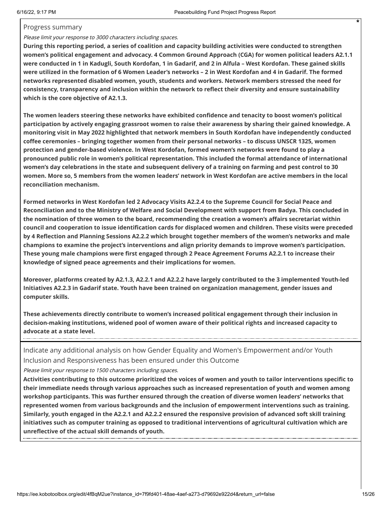### Progress summary

## Please limit your response to 3000 characters including spaces.

**During this reporting period, a series of coalition and capacity building activities were conducted to strengthen women's political engagement and advocacy. 4 Common Ground Approach (CGA) for women political leaders A2.1.1 were conducted in 1 in Kadugli, South Kordofan, 1 in Gadarif, and 2 in Alfula – West Kordofan. These gained skills were utilized in the formation of 6 Women Leader's networks – 2 in West Kordofan and 4 in Gadarif. The formed networks represented disabled women, youth, students and workers. Network members stressed the need for consistency, transparency and inclusion within the network to reflect their diversity and ensure sustainability which is the core objective of A2.1.3.** 

**The women leaders steering these networks have exhibited confidence and tenacity to boost women's political participation by actively engaging grassroot women to raise their awareness by sharing their gained knowledge. A monitoring visit in May 2022 highlighted that network members in South Kordofan have independently conducted coffee ceremonies – bringing together women from their personal networks – to discuss UNSCR 1325, women protection and gender-based violence. In West Kordofan, formed women's networks were found to play a pronounced public role in women's political representation. This included the formal attendance of international women's day celebrations in the state and subsequent delivery of a training on farming and pest control to 30 women. More so, 5 members from the women leaders' network in West Kordofan are active members in the local reconciliation mechanism.** 

**Formed networks in West Kordofan led 2 Advocacy Visits A2.2.4 to the Supreme Council for Social Peace and Reconciliation and to the Ministry of Welfare and Social Development with support from Badya. This concluded in the nomination of three women to the board, recommending the creation a women's affairs secretariat within council and cooperation to issue identification cards for displaced women and children. These visits were preceded by 4 Reflection and Planning Sessions A2.2.2 which brought together members of the women's networks and male champions to examine the project's interventions and align priority demands to improve women's participation. These young male champions were first engaged through 2 Peace Agreement Forums A2.2.1 to increase their knowledge of signed peace agreements and their implications for women.** 

**Moreover, platforms created by A2.1.3, A2.2.1 and A2.2.2 have largely contributed to the 3 implemented Youth-led Initiatives A2.2.3 in Gadarif state. Youth have been trained on organization management, gender issues and computer skills.** 

**These achievements directly contribute to women's increased political engagement through their inclusion in decision-making institutions, widened pool of women aware of their political rights and increased capacity to advocate at a state level.**

Indicate any additional analysis on how Gender Equality and Women's Empowerment and/or Youth Inclusion and Responsiveness has been ensured under this Outcome

Please limit your response to 1500 characters including spaces.

**Activities contributing to this outcome prioritized the voices of women and youth to tailor interventions specific to their immediate needs through various approaches such as increased representation of youth and women among workshop participants. This was further ensured through the creation of diverse women leaders' networks that represented women from various backgrounds and the inclusion of empowerment interventions such as training. Similarly, youth engaged in the A2.2.1 and A2.2.2 ensured the responsive provision of advanced soft skill training initiatives such as computer training as opposed to traditional interventions of agricultural cultivation which are unreflective of the actual skill demands of youth.**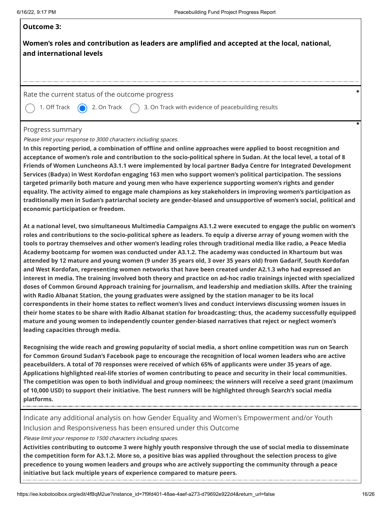# **Outcome 3:**

**Women's roles and contribution as leaders are amplified and accepted at the local, national, and international levels**

### Rate the current status of the outcome progress **\***

1. Off Track  $\bigcirc$  2. On Track  $\bigcirc$  3. On Track with evidence of peacebuilding results

### Progress summary

Please limit your response to 3000 characters including spaces.

**In this reporting period, a combination of offline and online approaches were applied to boost recognition and acceptance of women's role and contribution to the socio-political sphere in Sudan. At the local level, a total of 8 Friends of Women Luncheons A3.1.1 were implemented by local partner Badya Centre for Integrated Development Services (Badya) in West Kordofan engaging 163 men who support women's political participation. The sessions targeted primarily both mature and young men who have experience supporting women's rights and gender equality. The activity aimed to engage male champions as key stakeholders in improving women's participation as traditionally men in Sudan's patriarchal society are gender-biased and unsupportive of women's social, political and economic participation or freedom.**

**At a national level, two simultaneous Multimedia Campaigns A3.1.2 were executed to engage the public on women's roles and contributions to the socio-political sphere as leaders. To equip a diverse array of young women with the tools to portray themselves and other women's leading roles through traditional media like radio, a Peace Media Academy bootcamp for women was conducted under A3.1.2. The academy was conducted in Khartoum but was attended by 12 mature and young women (9 under 35 years old, 3 over 35 years old) from Gadarif, South Kordofan and West Kordofan, representing women networks that have been created under A2.1.3 who had expressed an interest in media. The training involved both theory and practice on ad-hoc radio trainings injected with specialized doses of Common Ground Approach training for journalism, and leadership and mediation skills. After the training with Radio Albanat Station, the young graduates were assigned by the station manager to be its local correspondents in their home states to reflect women's lives and conduct interviews discussing women issues in their home states to be share with Radio Albanat station for broadcasting; thus, the academy successfully equipped mature and young women to independently counter gender-biased narratives that reject or neglect women's leading capacities through media.**

**Recognising the wide reach and growing popularity of social media, a short online competition was run on Search for Common Ground Sudan's Facebook page to encourage the recognition of local women leaders who are active peacebuilders. A total of 70 responses were received of which 65% of applicants were under 35 years of age. Applications highlighted real-life stories of women contributing to peace and security in their local communities. The competition was open to both individual and group nominees; the winners will receive a seed grant (maximum of 10,000 USD) to support their initiative. The best runners will be highlighted through Search's social media platforms.**

Indicate any additional analysis on how Gender Equality and Women's Empowerment and/or Youth Inclusion and Responsiveness has been ensured under this Outcome

Please limit your response to 1500 characters including spaces.

**Activities contributing to outcome 3 were highly youth responsive through the use of social media to disseminate the competition form for A3.1.2. More so, a positive bias was applied throughout the selection process to give precedence to young women leaders and groups who are actively supporting the community through a peace initiative but lack multiple years of experience compared to mature peers.**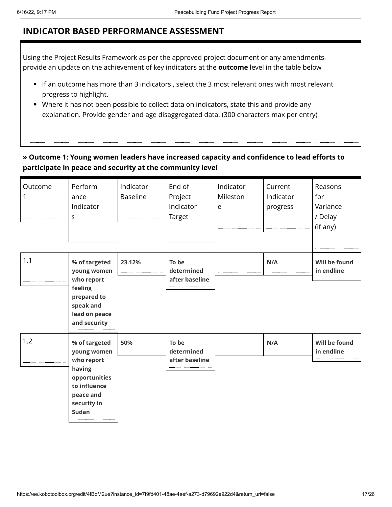## **INDICATOR BASED PERFORMANCE ASSESSMENT**

Using the Project Results Framework as per the approved project document or any amendmentsprovide an update on the achievement of key indicators at the **outcome** level in the table below

- If an outcome has more than 3 indicators , select the 3 most relevant ones with most relevant progress to highlight.
- Where it has not been possible to collect data on indicators, state this and provide any explanation. Provide gender and age disaggregated data. (300 characters max per entry)

## **» Outcome 1: Young women leaders have increased capacity and confidence to lead efforts to participate in peace and security at the community level**

| Outcome | Perform<br>ance<br>Indicator<br>S                                                                                                 | Indicator<br><b>Baseline</b> | End of<br>Project<br>Indicator<br>Target | Indicator<br>Mileston<br>e | Current<br>Indicator<br>progress | Reasons<br>for<br>Variance<br>/ Delay<br>(if any) |
|---------|-----------------------------------------------------------------------------------------------------------------------------------|------------------------------|------------------------------------------|----------------------------|----------------------------------|---------------------------------------------------|
| 1.1     | % of targeted<br>young women<br>who report<br>feeling<br>prepared to<br>speak and<br>lead on peace<br>and security                | 23.12%                       | To be<br>determined<br>after baseline    |                            | N/A                              | Will be found<br>in endline                       |
| 1.2     | % of targeted<br>young women<br>who report<br>having<br>opportunities<br>to influence<br>peace and<br>security in<br><b>Sudan</b> | 50%                          | To be<br>determined<br>after baseline    |                            | N/A                              | Will be found<br>in endline                       |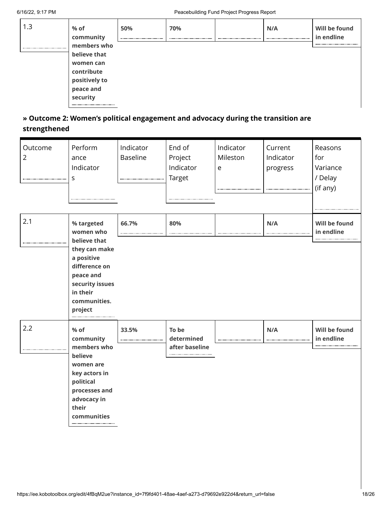| 1.3 | % of<br>community<br>members who | 50% | 70% | N/A | Will be found<br>in endline |
|-----|----------------------------------|-----|-----|-----|-----------------------------|
|     | believe that                     |     |     |     |                             |
|     | women can                        |     |     |     |                             |
|     | contribute                       |     |     |     |                             |
|     | positively to                    |     |     |     |                             |
|     | peace and                        |     |     |     |                             |
|     | security                         |     |     |     |                             |
|     |                                  |     |     |     |                             |

## **» Outcome 2: Women's political engagement and advocacy during the transition are strengthened**

| Outcome<br>$\overline{2}$ | Perform<br>ance<br>Indicator<br>S                                                                                   | Indicator<br><b>Baseline</b> | End of<br>Project<br>Indicator<br><b>Target</b> | Indicator<br>Mileston<br>e | Current<br>Indicator<br>progress | Reasons<br>for<br>Variance<br>/ Delay<br>(if any) |
|---------------------------|---------------------------------------------------------------------------------------------------------------------|------------------------------|-------------------------------------------------|----------------------------|----------------------------------|---------------------------------------------------|
| 2.1                       | % targeted<br>women who<br>believe that                                                                             | 66.7%                        | 80%                                             |                            | N/A                              | Will be found<br>in endline                       |
|                           | they can make<br>a positive<br>difference on<br>peace and<br>security issues<br>in their<br>communities.<br>project |                              |                                                 |                            |                                  |                                                   |
| 2.2                       | $%$ of<br>community<br>members who                                                                                  | 33.5%                        | To be<br>determined<br>after baseline           |                            | N/A                              | Will be found<br>in endline                       |
|                           | believe<br>women are<br>key actors in<br>political<br>processes and<br>advocacy in<br>their<br>communities          |                              |                                                 |                            |                                  |                                                   |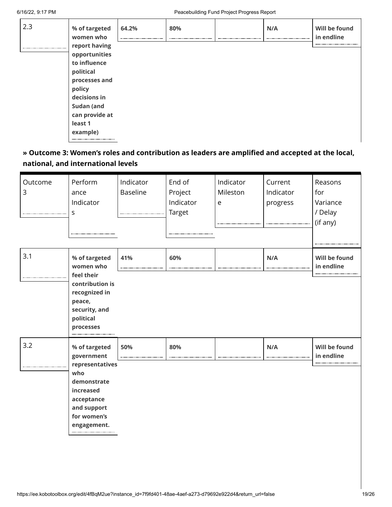| 2.3 | % of targeted<br>women who     | 64.2% | 80% | N/A | Will be found<br>in endline |
|-----|--------------------------------|-------|-----|-----|-----------------------------|
|     | report having<br>opportunities |       |     |     |                             |
|     | to influence                   |       |     |     |                             |
|     | political                      |       |     |     |                             |
|     | processes and                  |       |     |     |                             |
|     | policy                         |       |     |     |                             |
|     | decisions in                   |       |     |     |                             |
|     | Sudan (and                     |       |     |     |                             |
|     | can provide at                 |       |     |     |                             |
|     | least 1                        |       |     |     |                             |
|     | example)                       |       |     |     |                             |
|     |                                |       |     |     |                             |

## **» Outcome 3: Women's roles and contribution as leaders are amplified and accepted at the local, national, and international levels**

| Outcome<br>3 | Perform<br>ance<br>Indicator<br>S                                                                             | Indicator<br><b>Baseline</b> | End of<br>Project<br>Indicator<br>Target<br> | Indicator<br>Mileston<br>e | Current<br>Indicator<br>progress | Reasons<br>for<br>Variance<br>/ Delay<br>(if any) |
|--------------|---------------------------------------------------------------------------------------------------------------|------------------------------|----------------------------------------------|----------------------------|----------------------------------|---------------------------------------------------|
| 3.1          | % of targeted<br>women who<br>feel their                                                                      | 41%                          | 60%                                          |                            | N/A                              | Will be found<br>in endline                       |
|              | contribution is<br>recognized in<br>peace,<br>security, and<br>political<br>processes                         |                              |                                              |                            |                                  |                                                   |
| 3.2          | % of targeted<br>government                                                                                   | 50%                          | 80%                                          |                            | N/A                              | Will be found<br>in endline                       |
|              | representatives<br>who<br>demonstrate<br>increased<br>acceptance<br>and support<br>for women's<br>engagement. |                              |                                              |                            |                                  |                                                   |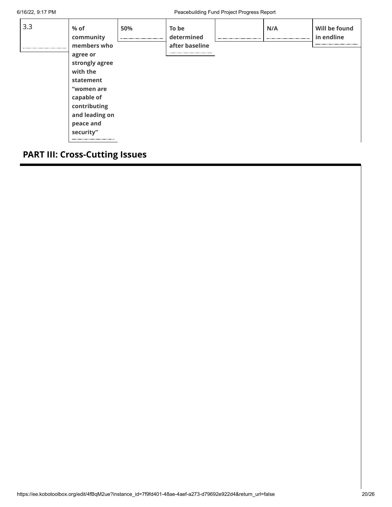| 3.3 | % of<br>community                                                                                                                                          | 50% | To be<br>determined | N/A | Will be found<br>in endline |
|-----|------------------------------------------------------------------------------------------------------------------------------------------------------------|-----|---------------------|-----|-----------------------------|
|     | members who<br>agree or<br>strongly agree<br>with the<br>statement<br>"women are<br>capable of<br>contributing<br>and leading on<br>peace and<br>security" |     | after baseline      |     |                             |

## **PART III: Cross-Cutting Issues**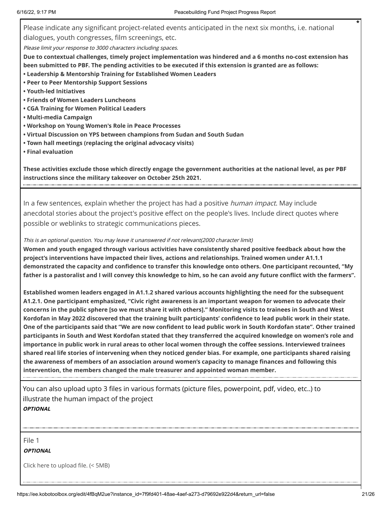Please indicate any significant project-related events anticipated in the next six months, i.e. national dialogues, youth congresses, film screenings, etc. Please limit your response to 3000 characters including spaces. **Due to contextual challenges, timely project implementation was hindered and a 6 months no-cost extension has been submitted to PBF. The pending activities to be executed if this extension is granted are as follows: • Leadership & Mentorship Training for Established Women Leaders** 

- **• Peer to Peer Mentorship Support Sessions**
- **• Youth-led Initiatives**
- **• Friends of Women Leaders Luncheons**
- **• CGA Training for Women Political Leaders**
- **• Multi-media Campaign**
- **• Workshop on Young Women's Role in Peace Processes**
- **• Virtual Discussion on YPS between champions from Sudan and South Sudan**
- **• Town hall meetings (replacing the original advocacy visits)**
- **• Final evaluation**

**These activities exclude those which directly engage the government authorities at the national level, as per PBF instructions since the military takeover on October 25th 2021.**

In a few sentences, explain whether the project has had a positive *human impact*. May include anecdotal stories about the project's positive effect on the people's lives. Include direct quotes where possible or weblinks to strategic communications pieces.

#### This is an optional question. You may leave it unanswered if not relevant(2000 character limit)

**Women and youth engaged through various activities have consistently shared positive feedback about how the project's interventions have impacted their lives, actions and relationships. Trained women under A1.1.1 demonstrated the capacity and confidence to transfer this knowledge onto others. One participant recounted, "My father is a pastoralist and I will convey this knowledge to him, so he can avoid any future conflict with the farmers".**

**Established women leaders engaged in A1.1.2 shared various accounts highlighting the need for the subsequent A1.2.1. One participant emphasized, "Civic right awareness is an important weapon for women to advocate their concerns in the public sphere [so we must share it with others]." Monitoring visits to trainees in South and West Kordofan in May 2022 discovered that the training built participants' confidence to lead public work in their state. One of the participants said that "We are now confident to lead public work in South Kordofan state". Other trained participants in South and West Kordofan stated that they transferred the acquired knowledge on women's role and importance in public work in rural areas to other local women through the coffee sessions. Interviewed trainees shared real life stories of intervening when they noticed gender bias. For example, one participants shared raising the awareness of members of an association around women's capacity to manage finances and following this intervention, the members changed the male treasurer and appointed woman member.**

You can also upload upto 3 files in various formats (picture files, powerpoint, pdf, video, etc..) to illustrate the human impact of the project **OPTIONAL**

File 1

**OPTIONAL**

Click here to upload file. (< 5MB)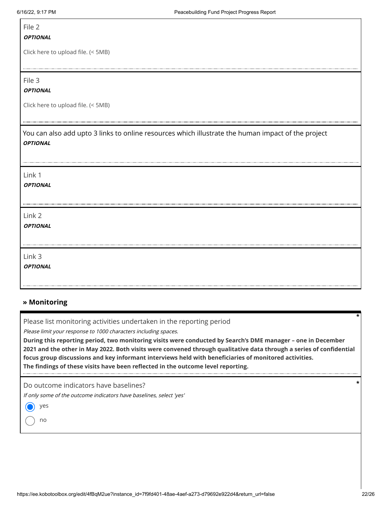Г

| File 2                                                                                                                |
|-----------------------------------------------------------------------------------------------------------------------|
| <b>OPTIONAL</b>                                                                                                       |
| Click here to upload file. (< 5MB)                                                                                    |
| File 3<br><b>OPTIONAL</b>                                                                                             |
| Click here to upload file. (< 5MB)                                                                                    |
| You can also add upto 3 links to online resources which illustrate the human impact of the project<br><b>OPTIONAL</b> |
| Link 1<br><b>OPTIONAL</b>                                                                                             |
| Link 2<br><b>OPTIONAL</b>                                                                                             |
| Link 3<br><b>OPTIONAL</b>                                                                                             |

### **» Monitoring**

Please list monitoring activities undertaken in the reporting period

Please limit your response to 1000 characters including spaces.

**During this reporting period, two monitoring visits were conducted by Search's DME manager – one in December 2021 and the other in May 2022. Both visits were convened through qualitative data through a series of confidential focus group discussions and key informant interviews held with beneficiaries of monitored activities. The findings of these visits have been reflected in the outcome level reporting.**

Do outcome indicators have baselines?

If only some of the outcome indicators have baselines, select 'yes'

yes

no

**\***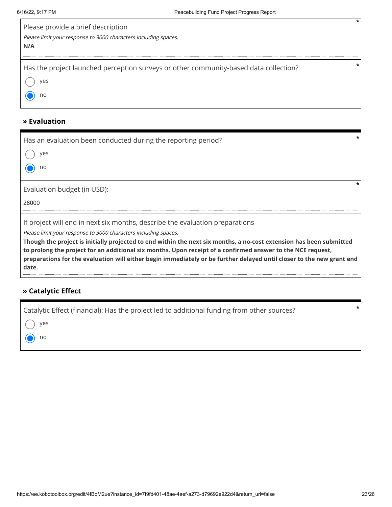| Please provide a brief description<br>Please limit your response to 3000 characters including spaces.<br>N/A |  |
|--------------------------------------------------------------------------------------------------------------|--|
| Has the project launched perception surveys or other community-based data collection?<br>yes<br>no           |  |

## **» Evaluation**

| Has an evaluation been conducted during the reporting period?<br>ves<br>no                                                                                                                                                                                                                                                                                                                                                                                                                              |
|---------------------------------------------------------------------------------------------------------------------------------------------------------------------------------------------------------------------------------------------------------------------------------------------------------------------------------------------------------------------------------------------------------------------------------------------------------------------------------------------------------|
| Evaluation budget (in USD):<br>28000                                                                                                                                                                                                                                                                                                                                                                                                                                                                    |
| If project will end in next six months, describe the evaluation preparations<br>Please limit your response to 3000 characters including spaces.<br>Though the project is initially projected to end within the next six months, a no-cost extension has been submitted<br>. The contract of the contract of the contract of the contract of the contract of the contract of the contract of the contract of the contract of the contract of the contract of the contract of the contract of the contrac |

**to prolong the project for an additional six months. Upon receipt of a confirmed answer to the NCE request, preparations for the evaluation will either begin immediately or be further delayed until closer to the new grant end date.**

## **» Catalytic Effect**

| $()$ yes      |  |
|---------------|--|
| $\bigodot$ no |  |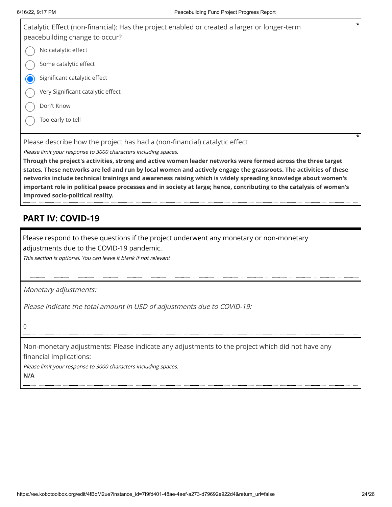| Catalytic Effect (non-financial): Has the project enabled or created a larger or longer-term<br>peacebuilding change to occur?                | $\star$ |
|-----------------------------------------------------------------------------------------------------------------------------------------------|---------|
| No catalytic effect                                                                                                                           |         |
| Some catalytic effect                                                                                                                         |         |
| Significant catalytic effect                                                                                                                  |         |
| Very Significant catalytic effect                                                                                                             |         |
| Don't Know                                                                                                                                    |         |
| Too early to tell                                                                                                                             |         |
|                                                                                                                                               | *       |
| Please describe how the project has had a (non-financial) catalytic effect<br>Please limit your response to 3000 characters including spaces. |         |
|                                                                                                                                               |         |

**Through the project's activities, strong and active women leader networks were formed across the three target states. These networks are led and run by local women and actively engage the grassroots. The activities of these networks include technical trainings and awareness raising which is widely spreading knowledge about women's important role in political peace processes and in society at large; hence, contributing to the catalysis of women's improved socio-political reality.**

## **PART IV: COVID-19**

Please respond to these questions if the project underwent any monetary or non-monetary adjustments due to the COVID-19 pandemic.

This section is optional. You can leave it blank if not relevant

Monetary adjustments:

Please indicate the total amount in USD of adjustments due to COVID-19:

0

Non-monetary adjustments: Please indicate any adjustments to the project which did not have any financial implications:

Please limit your response to 3000 characters including spaces.

**N/A**